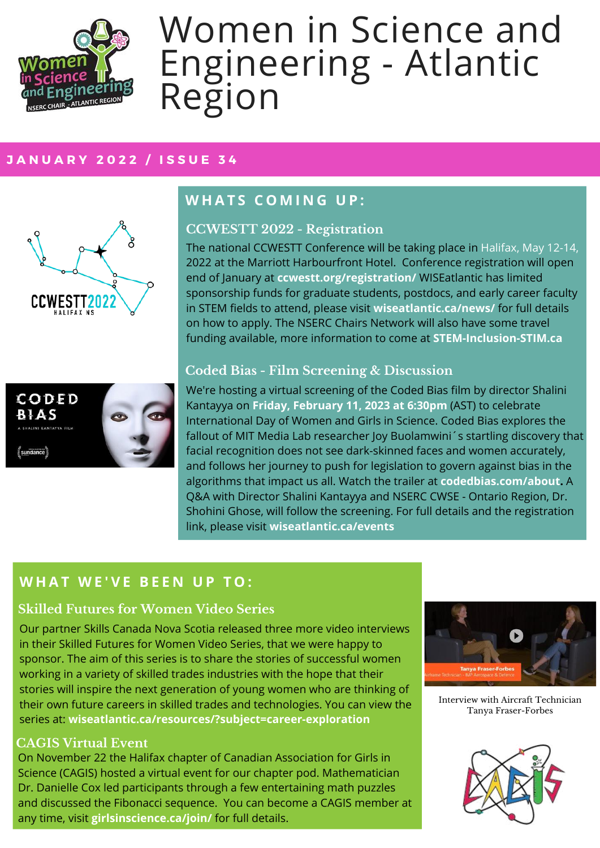

# Women in Science and Engineering - Atlantic Region

#### **J A N U A R Y 2 0 2 2 / I S S U E 3 4**



## **W H A T S C O M I N G U P :**

#### **CCWESTT 2022 - Registration**

The national CCWESTT Conference will be taking place in Halifax, May 12-14, 2022 at the Marriott Harbourfront Hotel. Conference registration will open end of January at **ccwestt.org/registration/** WISEatlantic has limited sponsorship funds for graduate students, postdocs, and early career faculty in STEM fields to attend, please visit **wiseatlantic.ca/news/** for full details on how to apply. The NSERC Chairs Network will also have some travel funding available, more information to come at **STEM-Inclusion-STIM.ca**



#### **Coded Bias - Film Screening & Discussion**

We're hosting a virtual screening of the Coded Bias film by director Shalini Kantayya on **Friday, February 11, 2023 at 6:30pm** (AST) to celebrate International Day of Women and Girls in Science. Coded Bias explores the fallout of MIT Media Lab researcher Joy Buolamwini's startling discovery that facial recognition does not see dark-skinned faces and women accurately, and follows her journey to push for legislation to govern against bias in the algorithms that impact us all. Watch the trailer at **codedbias.com/about.** A Q&A with Director Shalini Kantayya and NSERC CWSE - Ontario Region, Dr. Shohini Ghose, will follow the screening. For full details and the registration link, please visit **wiseatlantic.ca/events**

## **W H A T W E ' V E B E E N U P T O :**

#### **Skilled Futures for Women Video Series**

Our partner Skills Canada Nova Scotia released three more video interviews in their Skilled Futures for Women Video Series, that we were happy to sponsor. The aim of this series is to share the stories of successful women working in a variety of skilled trades industries with the hope that their stories will inspire the next generation of young women who are thinking of their own future careers in skilled trades and technologies. You can view the series at: **wiseatlantic.ca/resources/?subject=career-exploration**

#### **CAGIS Virtual Event**

On November 22 the Halifax chapter of Canadian Association for Girls in Science (CAGIS) hosted a virtual event for our chapter pod. Mathematician Dr. Danielle Cox led participants through a few entertaining math puzzles and discussed the Fibonacci sequence. You can become a CAGIS member at any time, visit **girlsinscience.ca/join/** for full details.



Interview with Aircraft Technician Tanya Fraser-Forbes